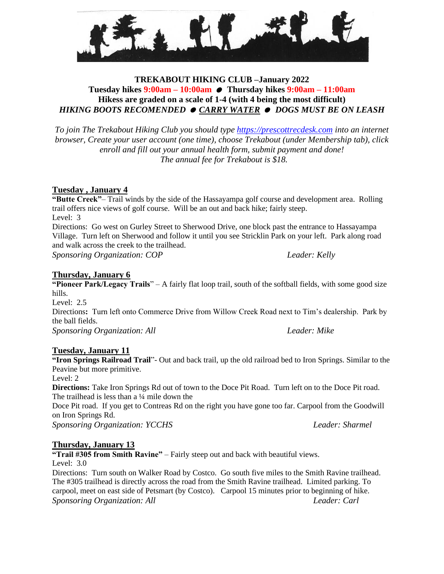

## **TREKABOUT HIKING CLUB –January 2022 Tuesday hikes 9:00am – 10:00am Thursday hikes 9:00am – 11:00am Hikess are graded on a scale of 1-4 (with 4 being the most difficult)** *HIKING BOOTS RECOMENDED CARRY WATER DOGS MUST BE ON LEASH*

*To join The Trekabout Hiking Club you should type [https://prescottrecdesk.com](https://prescottrecdesk.com/) into an internet browser, Create your user account (one time), choose Trekabout (under Membership tab), click enroll and fill out your annual health form, submit payment and done! The annual fee for Trekabout is \$18.*

## **Tuesday , January 4**

**"Butte Creek"**– Trail winds by the side of the Hassayampa golf course and development area. Rolling trail offers nice views of golf course. Will be an out and back hike; fairly steep. Level: 3

Directions: Go west on Gurley Street to Sherwood Drive, one block past the entrance to Hassayampa Village. Turn left on Sherwood and follow it until you see Stricklin Park on your left. Park along road and walk across the creek to the trailhead.

*Sponsoring Organization: COP Leader: Kelly*

**Thursday, January 6**

**"Pioneer Park/Legacy Trails**" – A fairly flat loop trail, south of the softball fields, with some good size hills.

Level: 2.5 Directions**:** Turn left onto Commerce Drive from Willow Creek Road next to Tim's dealership. Park by the ball fields. *Sponsoring Organization: All Leader: Mike*

#### **Tuesday, January 11**

**"Iron Springs Railroad Trail**"- Out and back trail, up the old railroad bed to Iron Springs. Similar to the Peavine but more primitive.

Level: 2

**Directions:** Take Iron Springs Rd out of town to the Doce Pit Road. Turn left on to the Doce Pit road. The trailhead is less than a  $\frac{1}{4}$  mile down the

Doce Pit road. If you get to Contreas Rd on the right you have gone too far. Carpool from the Goodwill on Iron Springs Rd.

*Sponsoring Organization: YCCHS Leader: Sharmel*

# **Thursday, January 13**

**"Trail #305 from Smith Ravine"** – Fairly steep out and back with beautiful views. Level: 3.0

Directions: Turn south on Walker Road by Costco. Go south five miles to the Smith Ravine trailhead. The #305 trailhead is directly across the road from the Smith Ravine trailhead. Limited parking. To carpool, meet on east side of Petsmart (by Costco). Carpool 15 minutes prior to beginning of hike. *Sponsoring Organization: All Leader: Carl*